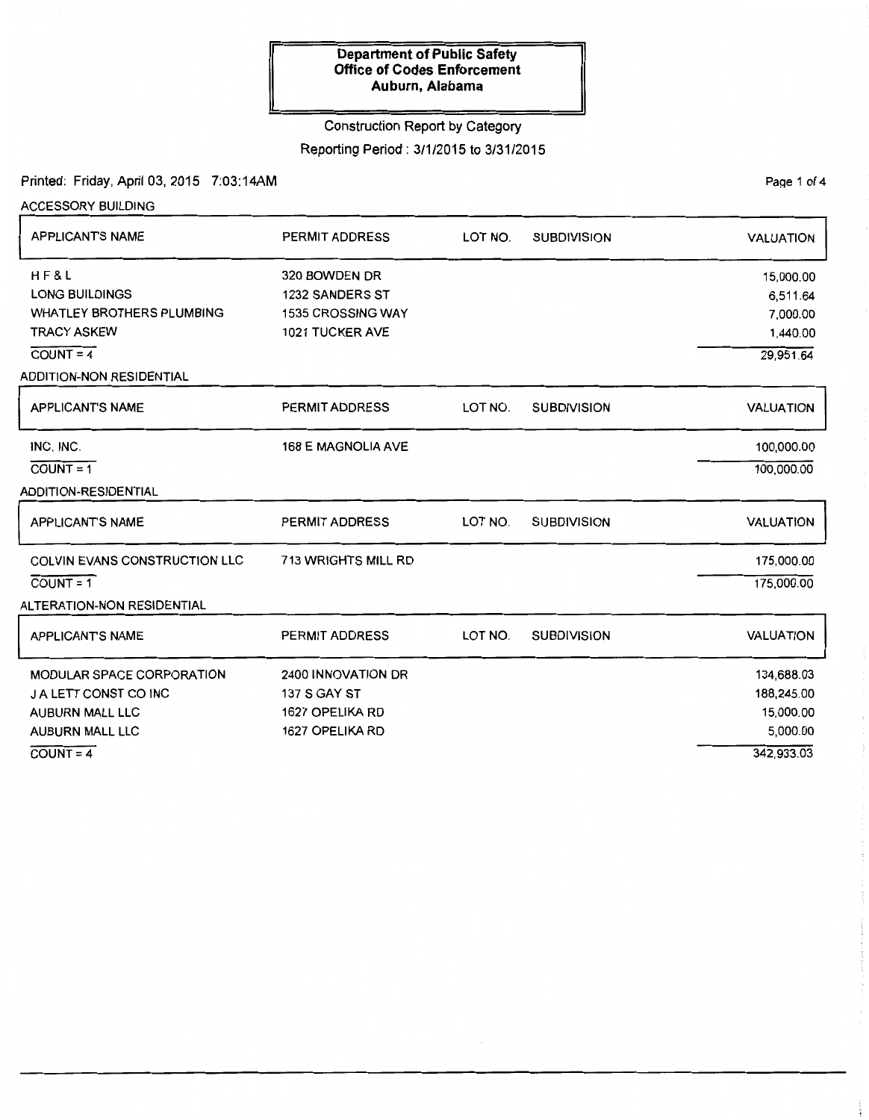#### Construction Report by Category

Reporting Period : 3/1/2015 to 3/31/2015

Printed: Friday, April 03, 2015 ?:03:14AM

ACCESSORY BUILDING APPLICANT'S NAME HF&L LONG BUILDINGS WHATLEY BROTHERS PLUMBING TRACY ASKEW  $COUNT = 4$ ADDITION-NON RESIDENTIAL APPLICANT'S NAME INC, INC.  $COUNT = 1$ ADDITION-RESIDENTIAL APPLICANT'S NAME COLVIN EVANS CONSTRUCTION LLC  $COUNT = 1$ ALTERATION-NON RESIDENTIAL APPLICANT'S NAME MODULAR SPACE CORPORATION J A LETT CONST CO INC AUBURN MALL LLC AUBURN MALL LLC PERMIT ADDRESS 320 BOWDEN DR 1232 SANDERS ST 1535 CROSSING WAY 1021 TUCKER AVE PERMIT ADDRESS 168 E MAGNOLIA AVE PERMIT ADDRESS 713 WRIGHTS MILL RD PERMIT ADDRESS 2400 INNOVATION DR 137 S GAY ST 1627 OPELIKA RD 1627 OPELIKA RD LOT NO. SUBDIVISION LOT NO. SUBDIVISION LOT NO. SUBDIVISION LOT NO. SUBDIVISION VALUATION 15,000.00 6,511.64 7,000.00 1,440.00 29,951.64 VALUATION 100,000.00 100,000.00 VALUATION 175,000.00 175,000.00 VALUATION 134,688.03 188,245.00 15,000.00 5,000.00 342,933.03

 $COUNT = 4$ 

PaQe 1 of 4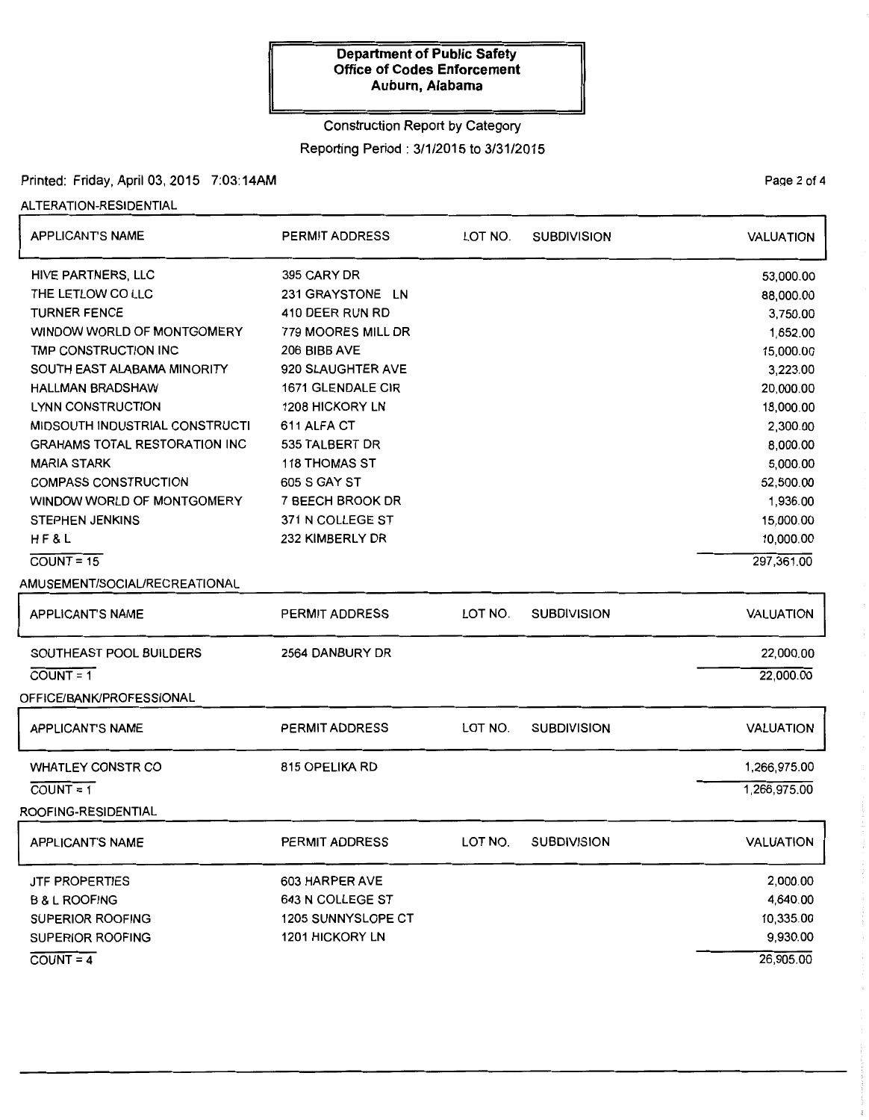# Construction Report by Category Reporting Period : 3/1/2015 to 3/31/2015

# Printed: Friday, April 03, 2015 7:03:14AM

### ALTERATION-RESIDENTIAL

| <b>APPLICANT'S NAME</b>               | <b>PERMIT ADDRESS</b> | LOT NO. | <b>SUBDIVISION</b> | <b>VALUATION</b> |
|---------------------------------------|-----------------------|---------|--------------------|------------------|
| HIVE PARTNERS, LLC                    | 395 CARY DR           |         |                    | 53,000.00        |
| THE LETLOW CO LLC                     | 231 GRAYSTONE LN      |         |                    | 88,000.00        |
| <b>TURNER FENCE</b>                   | 410 DEER RUN RD       |         |                    | 3,750.00         |
| WINDOW WORLD OF MONTGOMERY            | 779 MOORES MILL DR    |         |                    | 1,652.00         |
| TMP CONSTRUCTION INC                  | 206 BIBB AVE          |         |                    | 15,000.00        |
| SOUTH EAST ALABAMA MINORITY           | 920 SLAUGHTER AVE     |         |                    | 3,223.00         |
| <b>HALLMAN BRADSHAW</b>               | 1671 GLENDALE CIR     |         |                    | 20,000.00        |
| LYNN CONSTRUCTION                     | 1208 HICKORY LN       |         |                    | 18,000.00        |
| <b>MIDSOUTH INDUSTRIAL CONSTRUCTI</b> | 611 ALFA CT           |         |                    | 2,300.00         |
| <b>GRAHAMS TOTAL RESTORATION INC</b>  | 535 TALBERT DR        |         |                    | 8,000.00         |
| <b>MARIA STARK</b>                    | <b>118 THOMAS ST</b>  |         |                    | 5,000.00         |
| <b>COMPASS CONSTRUCTION</b>           | 605 S GAY ST          |         |                    | 52,500.00        |
| WINDOW WORLD OF MONTGOMERY            | 7 BEECH BROOK DR      |         |                    | 1,936.00         |
| <b>STEPHEN JENKINS</b>                | 371 N COLLEGE ST      |         |                    | 15,000.00        |
| HF&L                                  | 232 KIMBERLY DR       |         |                    | 10,000.00        |
| $COUNT = 15$                          |                       |         |                    | 297,361.00       |
| AMUSEMENT/SOCIAL/RECREATIONAL         |                       |         |                    |                  |
| <b>APPLICANT'S NAME</b>               | <b>PERMIT ADDRESS</b> | LOT NO. | <b>SUBDIVISION</b> | <b>VALUATION</b> |
| SOUTHEAST POOL BUILDERS               | 2564 DANBURY DR       |         |                    | 22,000.00        |
| $COUNT = 1$                           |                       |         |                    | 22,000.00        |
| OFFICE/BANK/PROFESSIONAL              |                       |         |                    |                  |
| <b>APPLICANT'S NAME</b>               | <b>PERMIT ADDRESS</b> | LOT NO. | <b>SUBDIVISION</b> | VALUATION        |
| <b>WHATLEY CONSTR CO</b>              | 815 OPELIKA RD        |         |                    | 1,266,975.00     |
| $COUNT = 1$                           |                       |         |                    | 1,266,975.00     |
| ROOFING-RESIDENTIAL                   |                       |         |                    |                  |
| <b>APPLICANT'S NAME</b>               | PERMIT ADDRESS        | LOT NO. | <b>SUBDIVISION</b> | <b>VALUATION</b> |
| <b>JTF PROPERTIES</b>                 | 603 HARPER AVE        |         |                    | 2,000.00         |
| <b>B &amp; L ROOFING</b>              | 643 N COLLEGE ST      |         |                    | 4,640.00         |
| SUPERIOR ROOFING                      | 1205 SUNNYSLOPE CT    |         |                    | 10,335.00        |
| <b>SUPERIOR ROOFING</b>               | 1201 HICKORY LN       |         |                    | 9,930.00         |
| $COUNT = 4$                           |                       |         |                    | 26,905.00        |

PaQe 2 of 4

ŧ  $\frac{1}{2}$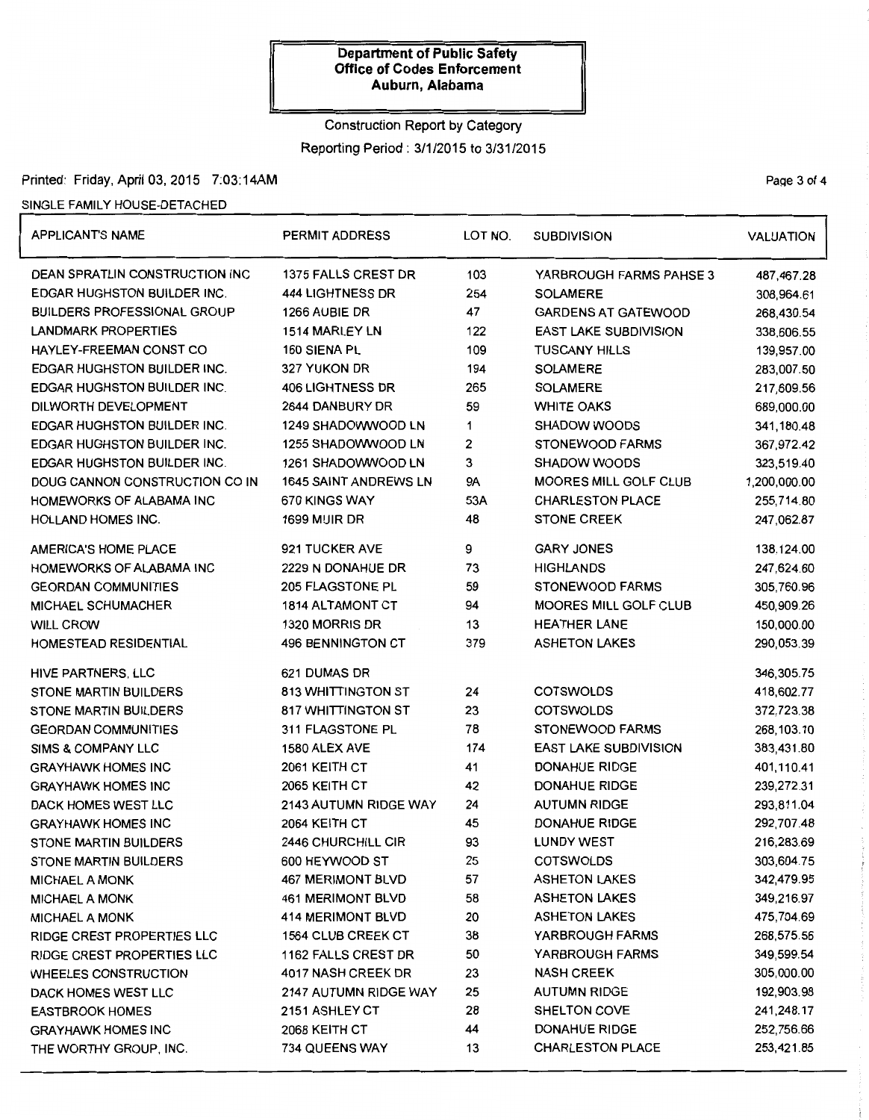## Construction Report by Category

Reporting Period : 3/1/2015 to 3/31/2015

# Printed: Friday, April 03, 2015 7:03:14AM Page 3 of 4

### SINGLE FAMILY HOUSE-DETACHED

| <b>APPLICANT'S NAME</b>               | <b>PERMIT ADDRESS</b>        | LOT NO. | <b>SUBDIVISION</b>           | <b>VALUATION</b> |
|---------------------------------------|------------------------------|---------|------------------------------|------------------|
| <b>DEAN SPRATLIN CONSTRUCTION INC</b> | 1375 FALLS CREST DR          | 103     | YARBROUGH FARMS PAHSE 3      | 487,467.28       |
| <b>EDGAR HUGHSTON BUILDER INC.</b>    | <b>444 LIGHTNESS DR</b>      | 254     | <b>SOLAMERE</b>              | 308,964.61       |
| <b>BUILDERS PROFESSIONAL GROUP</b>    | 1266 AUBIE DR                | 47      | <b>GARDENS AT GATEWOOD</b>   | 268,430.54       |
| <b>LANDMARK PROPERTIES</b>            | 1514 MARLEY LN               | 122     | <b>EAST LAKE SUBDIVISION</b> | 338,606.55       |
| <b>HAYLEY-FREEMAN CONST CO</b>        | 160 SIENA PL                 | 109     | <b>TUSCANY HILLS</b>         | 139,957.00       |
| <b>EDGAR HUGHSTON BUILDER INC.</b>    | 327 YUKON DR                 | 194     | <b>SOLAMERE</b>              | 283,007.50       |
| <b>EDGAR HUGHSTON BUILDER INC.</b>    | <b>406 LIGHTNESS DR</b>      | 265     | <b>SOLAMERE</b>              | 217,609.56       |
| DILWORTH DEVELOPMENT                  | 2644 DANBURY DR              | 59      | <b>WHITE OAKS</b>            | 689,000.00       |
| <b>EDGAR HUGHSTON BUILDER INC.</b>    | 1249 SHADOWWOOD LN           | 1       | <b>SHADOW WOODS</b>          | 341,180.48       |
| <b>EDGAR HUGHSTON BUILDER INC.</b>    | 1255 SHADOWWOOD LN           | 2       | <b>STONEWOOD FARMS</b>       | 367,972.42       |
| <b>EDGAR HUGHSTON BUILDER INC.</b>    | 1261 SHADOWWOOD LN           | 3       | <b>SHADOW WOODS</b>          | 323,519.40       |
| DOUG CANNON CONSTRUCTION CO IN        | <b>1645 SAINT ANDREWS LN</b> | 9Α      | <b>MOORES MILL GOLF CLUB</b> | 1,200,000.00     |
| HOMEWORKS OF ALABAMA INC              | 670 KINGS WAY                | 53A     | <b>CHARLESTON PLACE</b>      | 255,714.80       |
| <b>HOLLAND HOMES INC.</b>             | <b>1699 MUIR DR</b>          | 48      | <b>STONE CREEK</b>           | 247,062.87       |
| AMERICA'S HOME PLACE                  | 921 TUCKER AVE               | 9       | <b>GARY JONES</b>            | 138,124.00       |
| HOMEWORKS OF ALABAMA INC              | 2229 N DONAHUE DR            | 73      | <b>HIGHLANDS</b>             | 247,624.60       |
| <b>GEORDAN COMMUNITIES</b>            | 205 FLAGSTONE PL             | 59      | STONEWOOD FARMS              | 305,760.96       |
| MICHAEL SCHUMACHER                    | <b>1814 ALTAMONT CT</b>      | 94      | MOORES MILL GOLF CLUB        | 450,909.26       |
| <b>WILL CROW</b>                      | 1320 MORRIS DR               | 13      | <b>HEATHER LANE</b>          | 150,000.00       |
| HOMESTEAD RESIDENTIAL                 | 496 BENNINGTON CT            | 379     | <b>ASHETON LAKES</b>         | 290,053.39       |
| HIVE PARTNERS, LLC                    | 621 DUMAS DR                 |         |                              | 346,305.75       |
| <b>STONE MARTIN BUILDERS</b>          | <b>813 WHITTINGTON ST</b>    | 24      | <b>COTSWOLDS</b>             | 418,602.77       |
| STONE MARTIN BUILDERS                 | <b>817 WHITTINGTON ST</b>    | 23      | <b>COTSWOLDS</b>             | 372,723.38       |
| <b>GEORDAN COMMUNITIES</b>            | 311 FLAGSTONE PL             | 78      | STONEWOOD FARMS              | 268,103.10       |
| SIMS & COMPANY LLC                    | 1580 ALEX AVE                | 174     | <b>EAST LAKE SUBDIVISION</b> | 383,431.80       |
| <b>GRAYHAWK HOMES INC</b>             | 2061 KEITH CT                | 41      | <b>DONAHUE RIDGE</b>         | 401,110.41       |
| <b>GRAYHAWK HOMES INC</b>             | 2065 KEITH CT                | 42      | <b>DONAHUE RIDGE</b>         | 239,272.31       |
| DACK HOMES WEST LLC                   | 2143 AUTUMN RIDGE WAY        | 24      | <b>AUTUMN RIDGE</b>          | 293,811.04       |
| <b>GRAYHAWK HOMES INC</b>             | 2064 KEITH CT                | 45      | <b>DONAHUE RIDGE</b>         | 292,707.48       |
| <b>STONE MARTIN BUILDERS</b>          | <b>2446 CHURCHILL CIR</b>    | 93      | <b>LUNDY WEST</b>            | 216,283.69       |
| <b>STONE MARTIN BUILDERS</b>          | 600 HEYWOOD ST               | 25      | <b>COTSWOLDS</b>             | 303,604.75       |
| <b>MICHAEL A MONK</b>                 | <b>467 MERIMONT BLVD</b>     | 57      | <b>ASHETON LAKES</b>         | 342,479.95       |
| <b>MICHAEL A MONK</b>                 | <b>461 MERIMONT BLVD</b>     | 58      | <b>ASHETON LAKES</b>         | 349,216.97       |
| <b>MICHAEL A MONK</b>                 | 414 MERIMONT BLVD            | 20      | <b>ASHETON LAKES</b>         | 475,704.69       |
| <b>RIDGE CREST PROPERTIES LLC</b>     | 1564 CLUB CREEK CT           | 38      | YARBROUGH FARMS              | 268,575.56       |
| <b>RIDGE CREST PROPERTIES LLC</b>     | 1162 FALLS CREST DR          | 50      | <b>YARBROUGH FARMS</b>       | 349,599.54       |
| WHEELES CONSTRUCTION                  | 4017 NASH CREEK DR           | 23      | <b>NASH CREEK</b>            | 305,000.00       |
| DACK HOMES WEST LLC                   | <b>2147 AUTUMN RIDGE WAY</b> | 25      | <b>AUTUMN RIDGE</b>          | 192,903.98       |
| <b>EASTBROOK HOMES</b>                | 2151 ASHLEY CT               | 28      | SHELTON COVE                 | 241,248.17       |
| <b>GRAYHAWK HOMES INC</b>             | 2068 KEITH CT                | 44      | <b>DONAHUE RIDGE</b>         | 252,756.66       |
| THE WORTHY GROUP, INC.                | <b>734 QUEENS WAY</b>        | 13      | <b>CHARLESTON PLACE</b>      | 253,421.85       |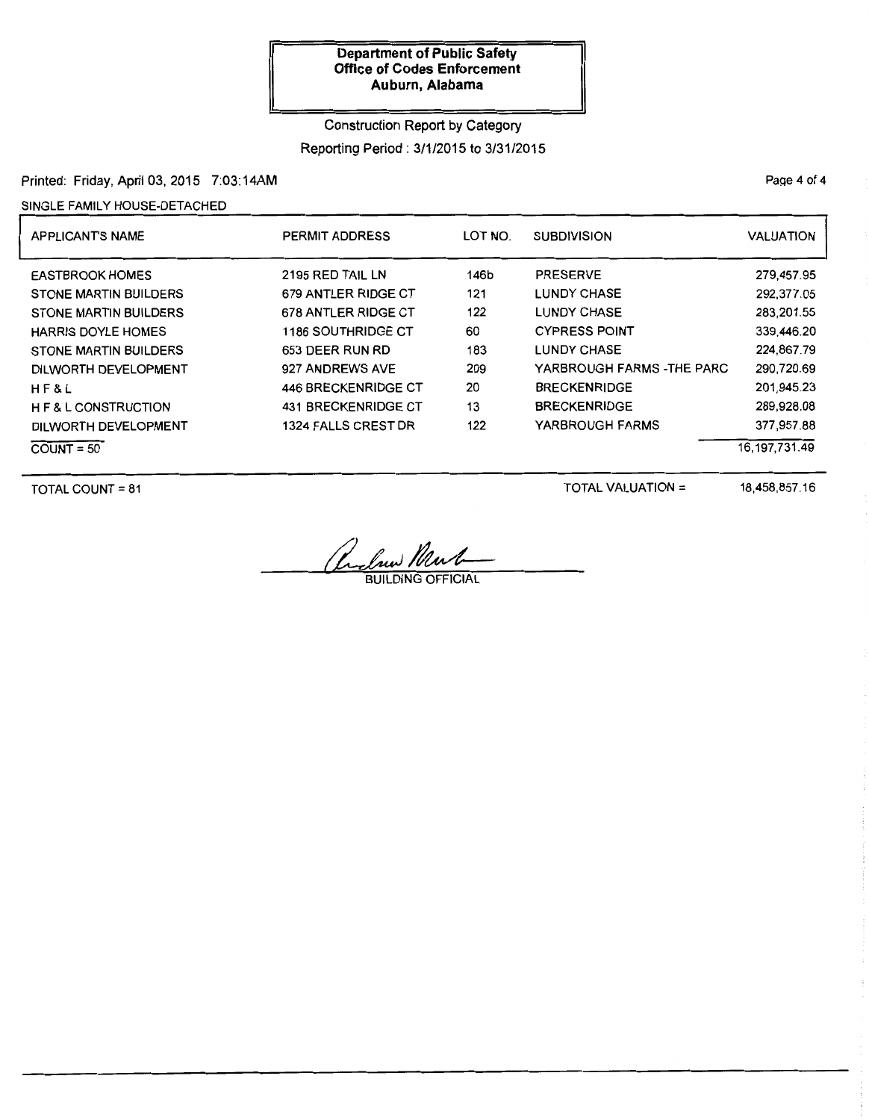# Construction Report by Category

Reporting Period : 3/1/2015 to 3/31/2015

# Printed: Friday, April 03, 2015 7:03:14AM

## SINGLE FAMILY HOUSE-DETACHED

| <b>APPLICANT'S NAME</b>                                                                                                                                                                                                  | <b>PERMIT ADDRESS</b>                                                                                                                                                    | LOT NO.                                            | <b>SUBDIVISION</b>                                                                                                                                                                   | VALUATION                                                                                                    |
|--------------------------------------------------------------------------------------------------------------------------------------------------------------------------------------------------------------------------|--------------------------------------------------------------------------------------------------------------------------------------------------------------------------|----------------------------------------------------|--------------------------------------------------------------------------------------------------------------------------------------------------------------------------------------|--------------------------------------------------------------------------------------------------------------|
| <b>EASTBROOK HOMES</b><br><b>STONE MARTIN BUILDERS</b><br><b>STONE MARTIN BUILDERS</b><br><b>HARRIS DOYLE HOMES</b><br><b>STONE MARTIN BUILDERS</b><br>DILWORTH DEVELOPMENT<br>H F & L<br><b>HE &amp; L CONSTRUCTION</b> | 2195 RED TAIL LN<br>679 ANTLER RIDGE CT<br>678 ANTLER RIDGE CT<br>1186 SOUTHRIDGE CT<br>653 DEER RUN RD<br>927 ANDREWS AVE<br>446 BRECKENRIDGE CT<br>431 BRECKENRIDGE CT | 146b<br>121<br>122<br>60<br>183<br>209<br>20<br>13 | <b>PRESERVE</b><br><b>LUNDY CHASE</b><br><b>LUNDY CHASE</b><br><b>CYPRESS POINT</b><br><b>LUNDY CHASE</b><br>YARBROUGH FARMS -THE PARC<br><b>BRECKENRIDGE</b><br><b>BRECKENRIDGE</b> | 279,457.95<br>292,377.05<br>283,201.55<br>339,446.20<br>224.867.79<br>290,720.69<br>201.945.23<br>289,928.08 |
| DILWORTH DEVELOPMENT<br>$COUNT = 50$                                                                                                                                                                                     | 1324 FALLS CREST DR                                                                                                                                                      | 122                                                | YARBROUGH FARMS                                                                                                                                                                      | 377,957.88<br>16.197.731.49                                                                                  |

TOTAL COUNT= 81

TOTAL VALUATION =

18,458,857.16

Reclaux Ment

PaQe 4 of 4